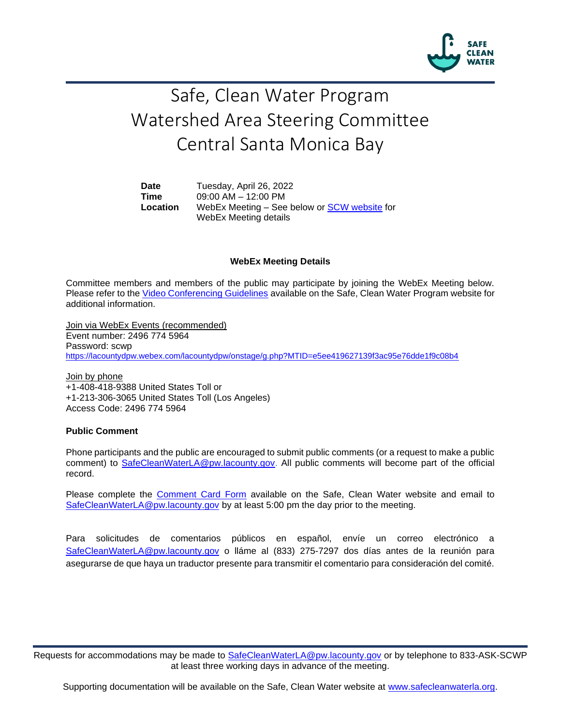

# Safe, Clean Water Program Watershed Area Steering Committee Central Santa Monica Bay

**Date** Tuesday, April 26, 2022 **Time** 09:00 AM – 12:00 PM **Location** WebEx Meeting – See below or [SCW website](https://safecleanwaterla.org/central-santa-monica-bay-watershed-area/) for WebEx Meeting details

#### **WebEx Meeting Details**

Committee members and members of the public may participate by joining the WebEx Meeting below. Please refer to the [Video Conferencing Guidelines](https://safecleanwaterla.org/video-conference-guidelines/) available on the Safe, Clean Water Program website for additional information.

Join via WebEx Events (recommended) Event number: 2496 774 5964 Password: scwp <https://lacountydpw.webex.com/lacountydpw/onstage/g.php?MTID=e5ee419627139f3ac95e76dde1f9c08b4>

Join by phone +1-408-418-9388 United States Toll or +1-213-306-3065 United States Toll (Los Angeles) Access Code: 2496 774 5964

# **Public Comment**

Phone participants and the public are encouraged to submit public comments (or a request to make a public comment) to [SafeCleanWaterLA@pw.lacounty.gov.](mailto:SafeCleanWaterLA@pw.lacounty.gov) All public comments will become part of the official record.

Please complete the Comment [Card Form](https://safecleanwaterla.org/wp-content/uploads/2020/04/Comment-Card-Form.pdf) available on the Safe, Clean Water website and email to [SafeCleanWaterLA@pw.lacounty.gov](mailto:SafeCleanWaterLA@pw.lacounty.gov) by at least 5:00 pm the day prior to the meeting.

Para solicitudes de comentarios públicos en español, envíe un correo electrónico a [SafeCleanWaterLA@pw.lacounty.gov](mailto:SafeCleanWaterLA@pw.lacounty.gov) o lláme al (833) 275-7297 dos días antes de la reunión para asegurarse de que haya un traductor presente para transmitir el comentario para consideración del comité.

Requests for accommodations may be made to [SafeCleanWaterLA@pw.lacounty.gov](mailto:SafeCleanWaterLA@pw.lacounty.gov) or by telephone to 833-ASK-SCWP at least three working days in advance of the meeting.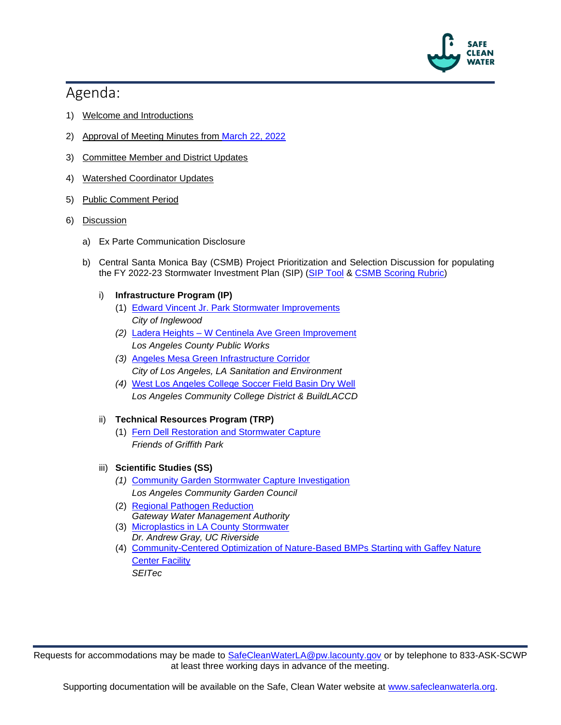

# Agenda:

- 1) Welcome and Introductions
- 2) Approval of Meeting Minutes from [March 22, 2022](https://safecleanwaterla.org/wp-content/uploads/2022/04/WASC-CSMB-Meeting-Minutes-20220322.pdf)
- 3) Committee Member and District Updates
- 4) Watershed Coordinator Updates
- 5) Public Comment Period
- 6) Discussion
	- a) Ex Parte Communication Disclosure
	- b) Central Santa Monica Bay (CSMB) Project Prioritization and Selection Discussion for populating the FY 2022-23 Stormwater Investment Plan (SIP) [\(SIP Tool](https://portal.safecleanwaterla.org/sip-tool/) & [CSMB Scoring Rubric\)](https://safecleanwaterla.org/wp-content/uploads/2022/02/CSMB-Scoring-Rubric-FY22-23.pdf)

# i) **Infrastructure Program (IP)**

- (1) [Edward Vincent Jr. Park Stormwater Improvements](https://portal.safecleanwaterla.org/projects-module-api/api/reportdownload/pdf/13/278) *City of Inglewood*
- *(2)* Ladera Heights [W Centinela Ave Green Improvement](https://portal.safecleanwaterla.org/projects-module-api/api/reportdownload/pdf/13/271) *Los Angeles County Public Works*
- *(3)* [Angeles Mesa Green Infrastructure Corridor](https://portal.safecleanwaterla.org/projects-module-api/api/reportdownload/pdf/13/250)  *City of Los Angeles, LA Sanitation and Environment*
- *(4)* [West Los Angeles College Soccer Field Basin Dry Well](https://portal.safecleanwaterla.org/projects-module-api/api/reportdownload/pdf/13/286)  *Los Angeles Community College District & BuildLACCD*

# ii) **Technical Resources Program (TRP)**

(1) [Fern Dell Restoration and Stormwater Capture](https://portal.safecleanwaterla.org/projects-module-api/api/reportdownload/pdf/55/60) *Friends of Griffith Park*

# iii) **Scientific Studies (SS)**

- *(1)* [Community Garden Stormwater Capture Investigation](https://portal.safecleanwaterla.org/projects-module-api/api/reportdownload/pdf/21/52) *Los Angeles Community Garden Council*
- (2) [Regional Pathogen Reduction](https://portal.safecleanwaterla.org/projects-module-api/api/reportdownload/pdf/21/40) *Gateway Water Management Authority*
- (3) [Microplastics in LA County Stormwater](https://portal.safecleanwaterla.org/projects-module-api/api/reportdownload/pdf/21/51) *Dr. Andrew Gray, UC Riverside*
- (4) [Community-Centered Optimization of Nature-Based BMPs Starting with Gaffey Nature](https://portal.safecleanwaterla.org/projects-module-api/api/reportdownload/pdf/21/39)  [Center Facility](https://portal.safecleanwaterla.org/projects-module-api/api/reportdownload/pdf/21/39) *SEITec*

Requests for accommodations may be made to [SafeCleanWaterLA@pw.lacounty.gov](mailto:SafeCleanWaterLA@pw.lacounty.gov) or by telephone to 833-ASK-SCWP at least three working days in advance of the meeting.